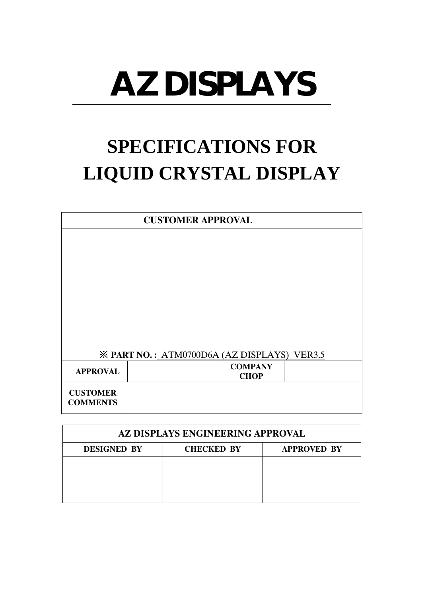# **AZ DISPLAYS**

# **SPECIFICATIONS FOR LIQUID CRYSTAL DISPLAY**

|                 | <b>CUSTOMER APPROVAL</b>                           |                               |  |  |  |  |  |
|-----------------|----------------------------------------------------|-------------------------------|--|--|--|--|--|
|                 |                                                    |                               |  |  |  |  |  |
|                 |                                                    |                               |  |  |  |  |  |
|                 |                                                    |                               |  |  |  |  |  |
|                 |                                                    |                               |  |  |  |  |  |
|                 |                                                    |                               |  |  |  |  |  |
|                 |                                                    |                               |  |  |  |  |  |
|                 |                                                    |                               |  |  |  |  |  |
|                 | <b>※ PART NO.: ATM0700D6A (AZ DISPLAYS) VER3.5</b> |                               |  |  |  |  |  |
| <b>APPROVAL</b> |                                                    | <b>COMPANY</b><br><b>CHOP</b> |  |  |  |  |  |
| <b>CUSTOMER</b> |                                                    |                               |  |  |  |  |  |
| <b>COMMENTS</b> |                                                    |                               |  |  |  |  |  |

| AZ DISPLAYS ENGINEERING APPROVAL                              |  |  |  |  |  |  |  |  |
|---------------------------------------------------------------|--|--|--|--|--|--|--|--|
| <b>DESIGNED BY</b><br><b>CHECKED BY</b><br><b>APPROVED BY</b> |  |  |  |  |  |  |  |  |
|                                                               |  |  |  |  |  |  |  |  |
|                                                               |  |  |  |  |  |  |  |  |
|                                                               |  |  |  |  |  |  |  |  |
|                                                               |  |  |  |  |  |  |  |  |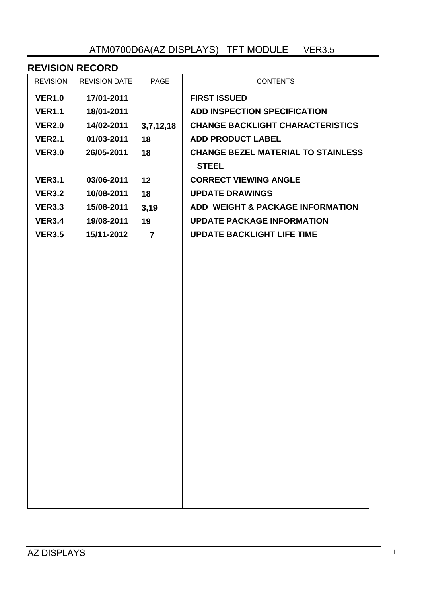# ATM0700D6A(AZ DISPLAYS) TFT MODULE VER3.5

#### **REVISION RECORD** REVISION REVISION DATE PAGE FROM CONTENTS **VER1.0 VER1.1 VER2.0 VER2.1 VER3.0 VER3.1 VER3.2 VER3.3 VER3.4 VER3.5 17/01-2011 18/01-2011 14/02-2011 01/03-2011 26/05-2011 03/06-2011 10/08-2011 15/08-2011 19/08-2011 15/11-2012 3,7,12,18 18 18 12 18 3,19 19 7 FIRST ISSUED ADD INSPECTION SPECIFICATION CHANGE BACKLIGHT CHARACTERISTICS ADD PRODUCT LABEL CHANGE BEZEL MATERIAL TO STAINLESS STEEL CORRECT VIEWING ANGLE UPDATE DRAWINGS ADD WEIGHT & PACKAGE INFORMATION UPDATE PACKAGE INFORMATION UPDATE BACKLIGHT LIFE TIME**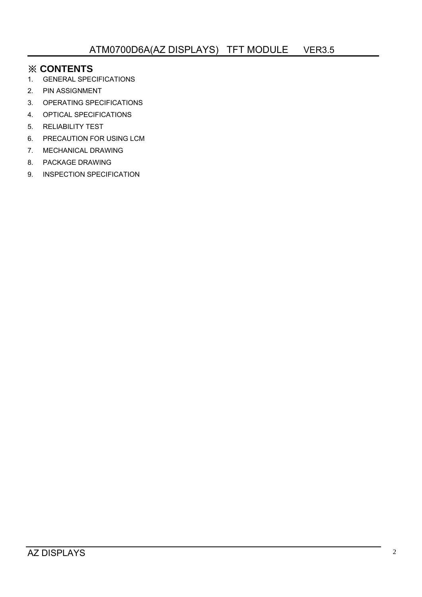# ※ **CONTENTS**

- 1. GENERAL SPECIFICATIONS
- 2. PIN ASSIGNMENT
- 3. OPERATING SPECIFICATIONS
- 4. OPTICAL SPECIFICATIONS
- 5. RELIABILITY TEST
- 6. PRECAUTION FOR USING LCM
- 7. MECHANICAL DRAWING
- 8. PACKAGE DRAWING
- 9. INSPECTION SPECIFICATION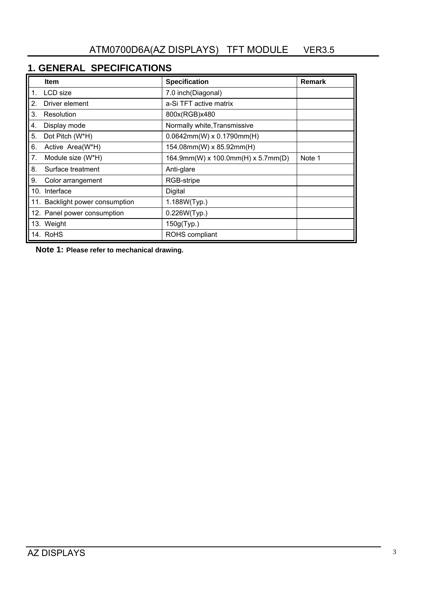# **1. GENERAL SPECIFICATIONS**

|                | <b>Item</b>                     | <b>Specification</b>               | Remark |
|----------------|---------------------------------|------------------------------------|--------|
| 1.             | LCD size                        | 7.0 inch(Diagonal)                 |        |
| 2.             | Driver element                  | a-Si TFT active matrix             |        |
| 3.             | Resolution                      | 800x(RGB)x480                      |        |
| 4.             | Display mode                    | Normally white, Transmissive       |        |
| 5.             | Dot Pitch (W*H)                 | $0.0642$ mm(W) x $0.1790$ mm(H)    |        |
| 6.             | Active Area(W*H)                | 154.08mm(W) x 85.92mm(H)           |        |
| 7 <sub>1</sub> | Module size (W*H)               | 164.9mm(W) x 100.0mm(H) x 5.7mm(D) | Note 1 |
| 8.             | Surface treatment               | Anti-glare                         |        |
| 9.             | Color arrangement               | RGB-stripe                         |        |
| 10.            | Interface                       | Digital                            |        |
|                | 11. Backlight power consumption | 1.188W(Typ.)                       |        |
|                | 12. Panel power consumption     | 0.226W(Typ.)                       |        |
|                | 13. Weight                      | 150g(Typ.)                         |        |
|                | 14. RoHS                        | ROHS compliant                     |        |

 **Note 1: Please refer to mechanical drawing.**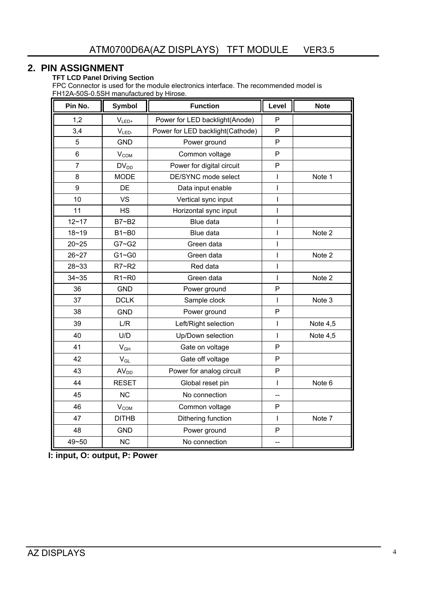#### **2. PIN ASSIGNMENT**

#### **TFT LCD Panel Driving Section**

FPC Connector is used for the module electronics interface. The recommended model is FH12A-50S-0.5SH manufactured by Hirose.

| Pin No.        | <b>Symbol</b>    | <b>Function</b>                  | Level        | <b>Note</b> |
|----------------|------------------|----------------------------------|--------------|-------------|
| 1,2            | $V_{LED+}$       | Power for LED backlight(Anode)   | P            |             |
| 3,4            | $V_{LED}$        | Power for LED backlight(Cathode) | P            |             |
| 5              | <b>GND</b>       | Power ground                     | P            |             |
| $6\phantom{1}$ | $V_{COM}$        | Common voltage                   | P            |             |
| $\overline{7}$ | $DV_{DD}$        | Power for digital circuit        | $\mathsf{P}$ |             |
| 8              | <b>MODE</b>      | DE/SYNC mode select              | T            | Note 1      |
| 9              | DE               | Data input enable                | T            |             |
| 10             | <b>VS</b>        | Vertical sync input              | T            |             |
| 11             | <b>HS</b>        | Horizontal sync input            | $\mathsf{I}$ |             |
| $12 - 17$      | B7~B2            | Blue data                        | $\mathsf{I}$ |             |
| $18 - 19$      | B1~B0            | Blue data                        | T            | Note 2      |
| $20 - 25$      | $G7 - G2$        | Green data                       | T            |             |
| $26 - 27$      | $G1 - G0$        | Green data                       | T            | Note 2      |
| $28 - 33$      | R7~R2            | Red data                         | $\mathsf{I}$ |             |
| $34 - 35$      | $R1 - R0$        | Green data                       | T            | Note 2      |
| 36             | <b>GND</b>       | Power ground                     | P            |             |
| 37             | <b>DCLK</b>      | Sample clock                     | L            | Note 3      |
| 38             | <b>GND</b>       | Power ground                     | P            |             |
| 39             | L/R              | Left/Right selection             | T            | Note $4,5$  |
| 40             | U/D              | Up/Down selection                | L            | Note 4,5    |
| 41             | $V_{GH}$         | Gate on voltage                  | P            |             |
| 42             | $V_{GL}$         | Gate off voltage                 | P            |             |
| 43             | AV <sub>DD</sub> | Power for analog circuit         | ${\sf P}$    |             |
| 44             | <b>RESET</b>     | Global reset pin                 | T            | Note 6      |
| 45             | <b>NC</b>        | No connection                    |              |             |
| 46             | V <sub>COM</sub> | Common voltage                   | P            |             |
| 47             | <b>DITHB</b>     | Dithering function               | T            | Note 7      |
| 48             | <b>GND</b>       | Power ground                     | $\mathsf{P}$ |             |
| 49~50          | <b>NC</b>        | No connection                    | --           |             |

 **I: input, O: output, P: Power**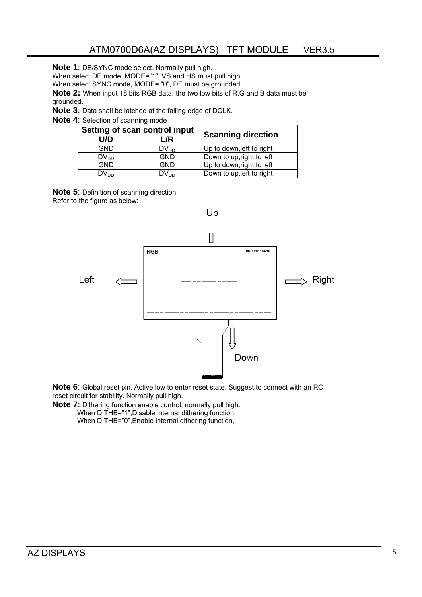**Note 1**: DE/SYNC mode select. Normally pull high.

When select DE mode, MODE="1", VS and HS must pull high.

When select SYNC mode, MODE= "0", DE must be grounded.

**Note 2:** When input 18 bits RGB data, the two low bits of R,G and B data must be grounded.

**Note 3**: Data shall be latched at the falling edge of DCLK.

#### **Note 4**: Selection of scanning mode

|                  | Setting of scan control input |                           |
|------------------|-------------------------------|---------------------------|
| U/D              | L/R                           | <b>Scanning direction</b> |
| <b>GND</b>       | $DV_{DD}$                     | Up to down, left to right |
| $DV_{DD}$        | <b>GND</b>                    | Down to up, right to left |
| <b>GND</b>       | <b>GND</b>                    | Up to down, right to left |
| DV <sub>DD</sub> | $DV_{DD}$                     | Down to up, left to right |

**Note 5**: Definition of scanning direction. Refer to the figure as below:



**Note 6**: Global reset pin. Active low to enter reset state. Suggest to connect with an RC reset circuit for stability. Normally pull high.

**Note 7**: Dithering function enable control, normally pull high.

When DITHB="1",Disable internal dithering function, When DITHB="0", Enable internal dithering function,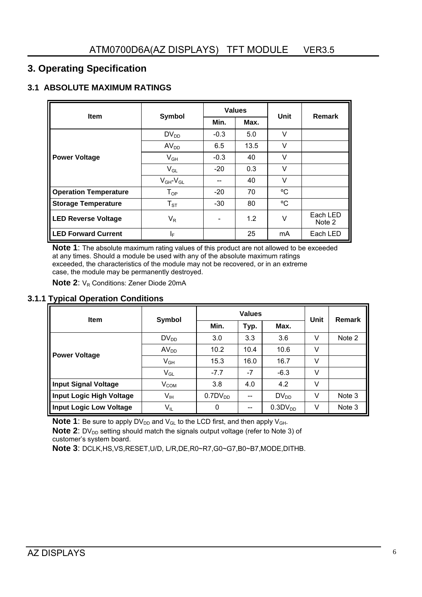# **3. Operating Specification**

#### **3.1 ABSOLUTE MAXIMUM RATINGS**

| <b>Item</b>                  | <b>Symbol</b>       |        | <b>Values</b> | Unit   | Remark             |
|------------------------------|---------------------|--------|---------------|--------|--------------------|
|                              |                     | Min.   | Max.          |        |                    |
|                              | $DV_{DD}$           | $-0.3$ | 5.0           | V      |                    |
|                              | AV <sub>DD</sub>    | 6.5    | 13.5          | V      |                    |
| <b>Power Voltage</b>         | $V_{GH}$            | $-0.3$ | 40            | V      |                    |
|                              | $V_{GL}$            | $-20$  | 0.3           | $\vee$ |                    |
|                              | $V_{GH}$ - $V_{GL}$ |        | 40            | $\vee$ |                    |
| <b>Operation Temperature</b> | $T_{OP}$            | $-20$  | 70            | °C     |                    |
| <b>Storage Temperature</b>   | $T_{ST}$            | $-30$  | 80            | °C     |                    |
| <b>LED Reverse Voltage</b>   | $V_R$               |        | 1.2           | V      | Each LED<br>Note 2 |
| <b>LED Forward Current</b>   | ΙF                  |        | 25            | mA     | Each LED           |

**Note 1**: The absolute maximum rating values of this product are not allowed to be exceeded at any times. Should a module be used with any of the absolute maximum ratings exceeded, the characteristics of the module may not be recovered, or in an extreme case, the module may be permanently destroyed.

**Note 2:** V<sub>R</sub> Conditions: Zener Diode 20mA

#### **3.1.1 Typical Operation Conditions**

| <b>Item</b>                     |                  |                     | <b>Values</b> | Unit                | Remark |        |
|---------------------------------|------------------|---------------------|---------------|---------------------|--------|--------|
|                                 | Symbol           | Min.                | Typ.          | Max.                |        |        |
|                                 | $DV_{DD}$        | 3.0                 | 3.3           | 3.6                 | V      | Note 2 |
| <b>Power Voltage</b>            | AV <sub>DD</sub> | 10.2                | 10.4          | 10.6                | V      |        |
|                                 | $V_{GH}$         | 15.3                | 16.0          | 16.7                | V      |        |
|                                 | $V_{GL}$         | $-7.7$              | $-7$          | $-6.3$              | V      |        |
| <b>Input Signal Voltage</b>     | $V_{COM}$        | 3.8                 | 4.0           | 4.2                 | V      |        |
| <b>Input Logic High Voltage</b> | $V_{IH}$         | 0.7DV <sub>DD</sub> | --            | $DV_{DD}$           | V      | Note 3 |
| <b>Input Logic Low Voltage</b>  | $V_{IL}$         | 0                   | --            | 0.3DV <sub>DD</sub> | V      | Note 3 |

**Note 1**: Be sure to apply  $DV_{DD}$  and  $V_{GL}$  to the LCD first, and then apply  $V_{GH}$ .

**Note 2:** DV<sub>DD</sub> setting should match the signals output voltage (refer to Note 3) of customer's system board.

**Note 3**: DCLK,HS,VS,RESET,U/D, L/R,DE,R0~R7,G0~G7,B0~B7,MODE,DITHB.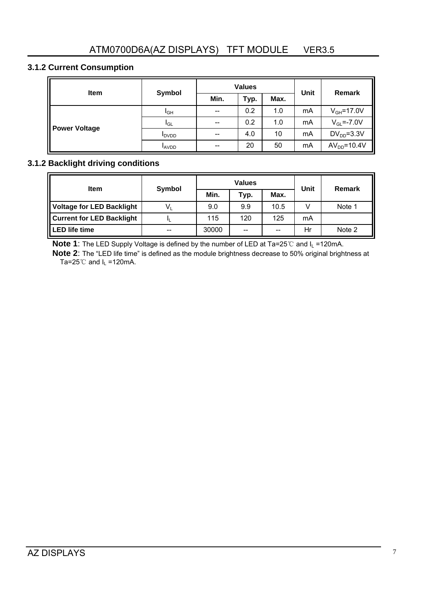### **3.1.2 Current Consumption**

| <b>Item</b>          | Symbol          |       | <b>Values</b> | <b>Unit</b> | <b>Remark</b> |                  |
|----------------------|-----------------|-------|---------------|-------------|---------------|------------------|
|                      |                 | Min.  | Typ.          | Max.        |               |                  |
| <b>Power Voltage</b> | I <sub>GH</sub> | $-$   | 0.2           | 1.0         | mA            | $V_{GH} = 17.0V$ |
|                      | <b>I</b> GL     | $- -$ | 0.2           | 1.0         | mA            | $V_{GL} = -7.0V$ |
|                      | <b>I</b> DVDD   | $-$   | 4.0           | 10          | mA            | $DV_{DD} = 3.3V$ |
|                      | <b>LAVDD</b>    | $-$   | 20            | 50          | mA            | $AVDD=10.4V$     |

#### **3.1.2 Backlight driving conditions**

| <b>Item</b>                      | Symbol |       | <b>Values</b> | Unit | Remark |        |
|----------------------------------|--------|-------|---------------|------|--------|--------|
|                                  |        | Min.  | Typ.          | Max. |        |        |
| <b>Voltage for LED Backlight</b> | V,     | 9.0   | 9.9           | 10.5 | V      | Note 1 |
| <b>Current for LED Backlight</b> |        | 115   | 120           | 125  | mA     |        |
| <b>LED life time</b>             | $- -$  | 30000 | --            | $-$  | Hr     | Note 2 |

**Note 1**: The LED Supply Voltage is defined by the number of LED at Ta=25℃ and I<sub>L</sub> =120mA.

**Note 2**: The "LED life time" is defined as the module brightness decrease to 50% original brightness at Ta=25 $^{\circ}$ C and I<sub>L</sub> =120mA.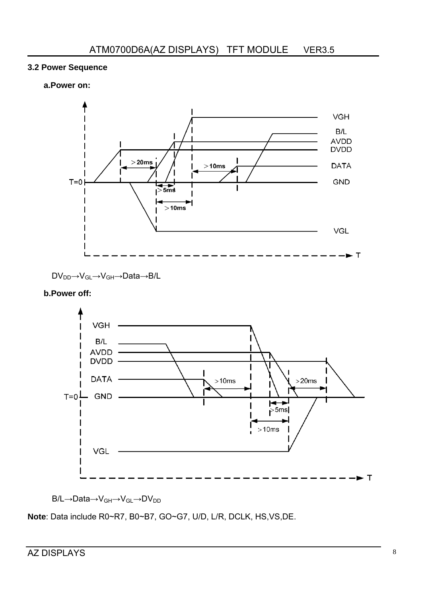#### **3.2 Power Sequence**

#### **a.Power on:**



DV<sub>DD</sub>→V<sub>GL</sub>→V<sub>GH</sub>→Data→B/L

#### **b.Power off:**



B/L→Data→V<sub>GH</sub>→V<sub>GL</sub>→DV<sub>DD</sub>

**Note**: Data include R0~R7, B0~B7, GO~G7, U/D, L/R, DCLK, HS,VS,DE.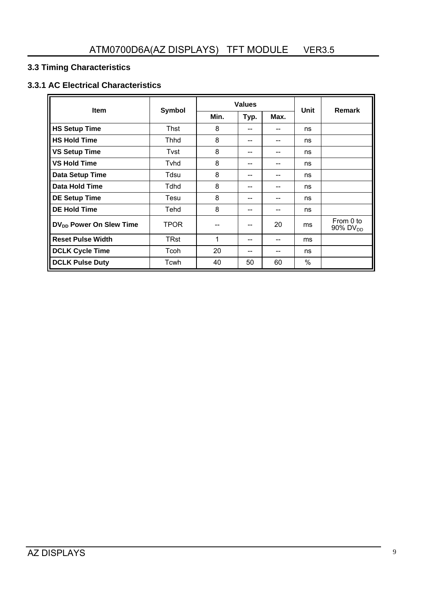# **3.3 Timing Characteristics**

# **3.3.1 AC Electrical Characteristics**

| <b>Item</b>                         |               |      | <b>Values</b> | Unit | <b>Remark</b> |                                   |
|-------------------------------------|---------------|------|---------------|------|---------------|-----------------------------------|
|                                     | <b>Symbol</b> | Min. | Typ.          | Max. |               |                                   |
| <b>HS Setup Time</b>                | Thst          | 8    | --            | --   | ns            |                                   |
| <b>HS Hold Time</b>                 | Thhd          | 8    | --            |      | ns            |                                   |
| <b>VS Setup Time</b>                | Tvst          | 8    | --            | --   | ns            |                                   |
| <b>VS Hold Time</b>                 | Tyhd          | 8    | --            |      | ns            |                                   |
| Data Setup Time                     | Tdsu          | 8    | --            |      | ns            |                                   |
| Data Hold Time                      | Tdhd          | 8    | --            |      | ns            |                                   |
| <b>DE Setup Time</b>                | Tesu          | 8    | --            |      | ns            |                                   |
| <b>DE Hold Time</b>                 | Tehd          | 8    | --            | --   | ns            |                                   |
| DV <sub>DD</sub> Power On Slew Time | <b>TPOR</b>   | --   | --            | 20   | ms            | From 0 to<br>90% DV <sub>DD</sub> |
| <b>Reset Pulse Width</b>            | <b>TRst</b>   | 1    | --            | --   | ms            |                                   |
| <b>DCLK Cycle Time</b>              | Tcoh          | 20   | --            | --   | ns            |                                   |
| <b>DCLK Pulse Duty</b>              | Tcwh          | 40   | 50            | 60   | %             |                                   |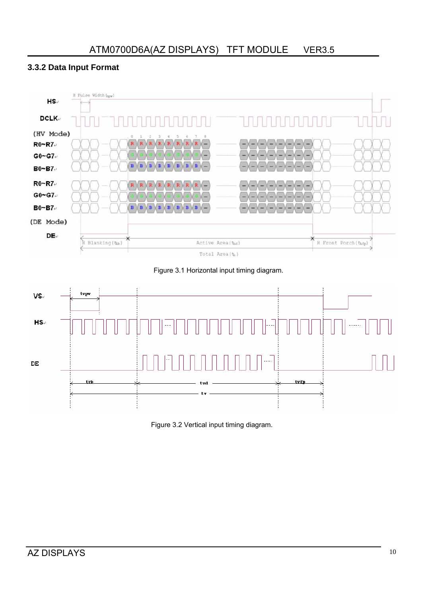# **3.3.2 Data Input Format**



Figure 3.1 Horizontal input timing diagram.



Figure 3.2 Vertical input timing diagram.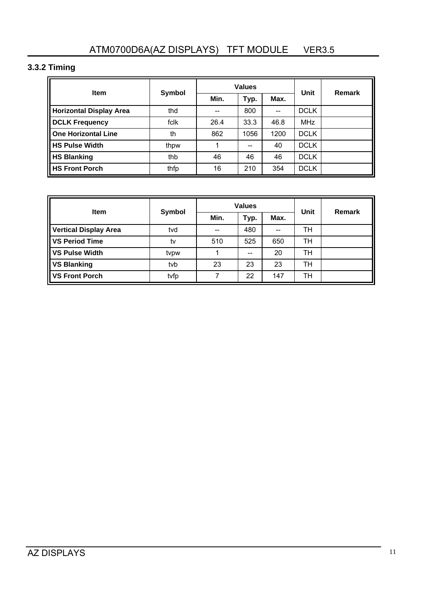# **3.3.2 Timing**

| <b>Item</b>                    | Symbol |      | <b>Values</b> | Unit | <b>Remark</b> |  |
|--------------------------------|--------|------|---------------|------|---------------|--|
|                                |        | Min. | Typ.          | Max. |               |  |
| <b>Horizontal Display Area</b> | thd    | --   | 800           | --   | <b>DCLK</b>   |  |
| <b>DCLK Frequency</b>          | fclk   | 26.4 | 33.3          | 46.8 | <b>MHz</b>    |  |
| <b>One Horizontal Line</b>     | th     | 862  | 1056          | 1200 | <b>DCLK</b>   |  |
| <b>HS Pulse Width</b>          | thpw   | 1    | $-$           | 40   | <b>DCLK</b>   |  |
| <b>HS Blanking</b>             | thb    | 46   | 46            | 46   | <b>DCLK</b>   |  |
| <b>HS Front Porch</b>          | thfp   | 16   | 210           | 354  | <b>DCLK</b>   |  |

|                              | Symbol |      | <b>Values</b> | Unit | Remark |  |
|------------------------------|--------|------|---------------|------|--------|--|
| <b>Item</b>                  |        | Min. | Typ.          | Max. |        |  |
| <b>Vertical Display Area</b> | tvd    | $-$  | 480           | $-$  | TН     |  |
| <b>VS Period Time</b>        | tv     | 510  | 525           | 650  | тн     |  |
| <b>VS Pulse Width</b>        | tvpw   | 4    | $-$           | 20   | TН     |  |
| <b>VS Blanking</b>           | tvb    | 23   | 23            | 23   | TН     |  |
| <b>VS Front Porch</b>        | tvfp   |      | 22            | 147  | TН     |  |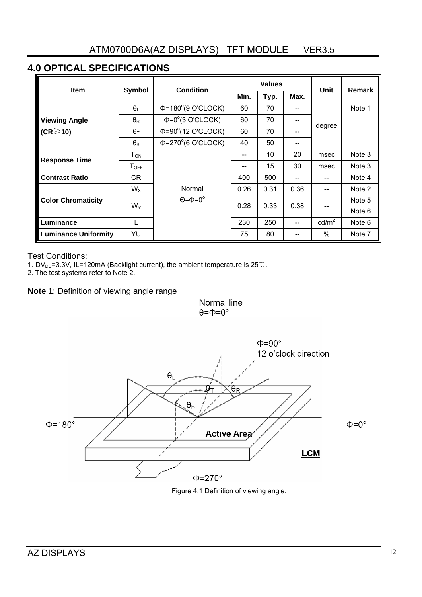# **4.0 OPTICAL SPECIFICATIONS**

| <b>Item</b>                 | Symbol                   | <b>Condition</b>                      |                   | <b>Values</b> |      | Unit            | <b>Remark</b> |
|-----------------------------|--------------------------|---------------------------------------|-------------------|---------------|------|-----------------|---------------|
|                             |                          |                                       | Min.              | Typ.          | Max. |                 |               |
|                             | $\theta_L$               | $\Phi$ =180°(9 O'CLOCK)               | 60                | 70            |      |                 | Note 1        |
| <b>Viewing Angle</b>        | $\theta_{\mathsf{R}}$    | $\Phi = 0^\circ(3 \text{ O'CLOCK})$   | 60<br>70<br>$- -$ |               |      |                 |               |
| $(CR \geq 10)$              | $\theta_T$               | $\Phi = 90^\circ(12 \text{ O}'CLOCK)$ | 60                | 70            |      | degree          |               |
|                             | $\theta_{\text{B}}$      | $\Phi$ =270 $^{\circ}$ (6 O'CLOCK)    | 40                | 50            | --   |                 |               |
| <b>Response Time</b>        | $\mathsf{T}_\mathsf{ON}$ |                                       | --                | 10            | 20   | msec            | Note 3        |
|                             | $T_{OFF}$                |                                       | --                | 15            | 30   | msec            | Note 3        |
| <b>Contrast Ratio</b>       | CR                       |                                       | 400               | 500           |      |                 | Note 4        |
|                             | $W_X$                    | Normal                                | 0.26              | 0.31          | 0.36 |                 | Note 2        |
| <b>Color Chromaticity</b>   | $W_Y$                    | $\Theta = \Phi = 0^\circ$             | 0.28              | 0.33          | 0.38 |                 | Note 5        |
|                             |                          |                                       |                   |               |      |                 | Note 6        |
| Luminance                   |                          |                                       | 230               | 250           |      | $\text{cd/m}^2$ | Note 6        |
| <b>Luminance Uniformity</b> | YU                       |                                       | 75                | 80            |      | $\%$            | Note 7        |

Test Conditions:

1. DV<sub>DD</sub>=3.3V, IL=120mA (Backlight current), the ambient temperature is 25 °C.

2. The test systems refer to Note 2.

**Note 1**: Definition of viewing angle range



Figure 4.1 Definition of viewing angle.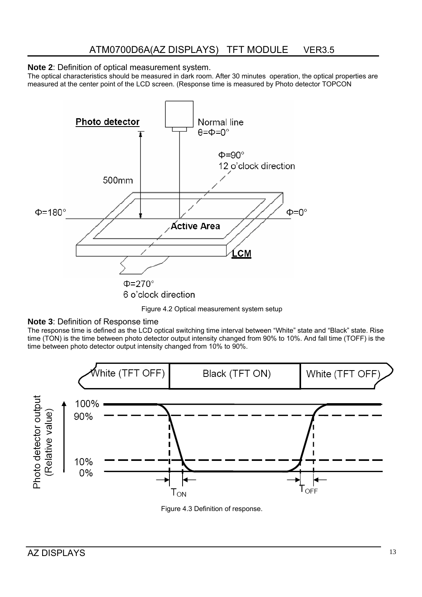#### **Note 2**: Definition of optical measurement system.

The optical characteristics should be measured in dark room. After 30 minutes operation, the optical properties are measured at the center point of the LCD screen. (Response time is measured by Photo detector TOPCON



Figure 4.2 Optical measurement system setup

#### **Note 3**: Definition of Response time

The response time is defined as the LCD optical switching time interval between "White" state and "Black" state. Rise time (TON) is the time between photo detector output intensity changed from 90% to 10%. And fall time (TOFF) is the time between photo detector output intensity changed from 10% to 90%.



Figure 4.3 Definition of response.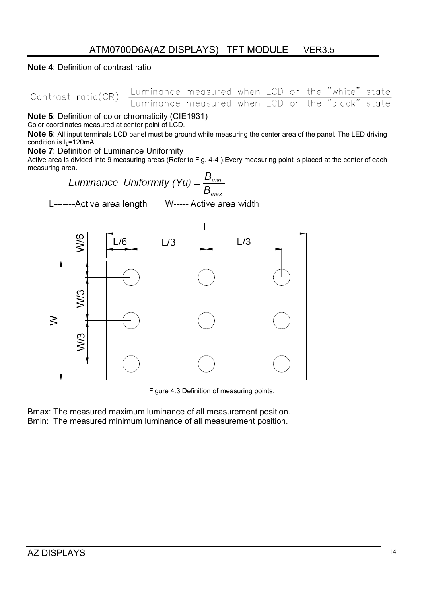#### **Note 4**: Definition of contrast ratio

Contrast ratio( $CR$ ) =  $\frac{Luminance}{Luminance}$  measured when LCD on the "white" state  $LCD$  on the "black" state

**Note 5**: Definition of color chromaticity (CIE1931)

Color coordinates measured at center point of LCD.

**Note 6**: All input terminals LCD panel must be ground while measuring the center area of the panel. The LED driving condition is  $I_1 = 120 \text{mA}$ .

**Note 7**: Definition of Luminance Uniformity

Active area is divided into 9 measuring areas (Refer to Fig. 4-4 ).Every measuring point is placed at the center of each measuring area.

Luminance Uniformity (Yu) = 
$$
\frac{B_{\text{min}}}{B_{\text{max}}}
$$

L-------Active area length

W----- Active area width



Figure 4.3 Definition of measuring points.

Bmax: The measured maximum luminance of all measurement position. Bmin: The measured minimum luminance of all measurement position.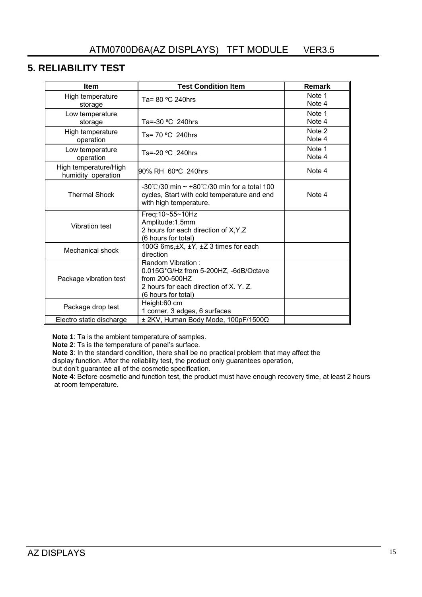# **5. RELIABILITY TEST**

| <b>Item</b>                                 | <b>Test Condition Item</b>                                                                                                                       | <b>Remark</b>    |
|---------------------------------------------|--------------------------------------------------------------------------------------------------------------------------------------------------|------------------|
| High temperature<br>storage                 | Ta= 80 °C 240hrs                                                                                                                                 | Note 1<br>Note 4 |
| Low temperature<br>storage                  | Ta=-30 °C 240hrs                                                                                                                                 | Note 1<br>Note 4 |
| High temperature<br>operation               | Ts= 70 °C 240hrs                                                                                                                                 | Note 2<br>Note 4 |
| Low temperature<br>operation                | Ts=-20 °C 240hrs                                                                                                                                 | Note 1<br>Note 4 |
| High temperature/High<br>humidity operation | 90% RH 60°C 240hrs                                                                                                                               | Note 4           |
| <b>Thermal Shock</b>                        | $-30^{\circ}$ (2/30 min $\sim$ +80 $^{\circ}$ (2/30 min for a total 100<br>cycles, Start with cold temperature and end<br>with high temperature. | Note 4           |
| <b>Vibration test</b>                       | Freq:10~55~10Hz<br>Amplitude:1.5mm<br>2 hours for each direction of X, Y, Z<br>(6 hours for total)                                               |                  |
| Mechanical shock                            | 100G 6ms, ±X, ±Y, ±Z 3 times for each<br>direction                                                                                               |                  |
| Package vibration test                      | Random Vibration:<br>0.015G*G/Hz from 5-200HZ, -6dB/Octave<br>from 200-500HZ<br>2 hours for each direction of X. Y. Z.<br>(6 hours for total)    |                  |
| Package drop test                           | Height:60 cm<br>1 corner, 3 edges, 6 surfaces                                                                                                    |                  |
| Electro static discharge                    | ± 2KV, Human Body Mode, 100pF/1500Ω                                                                                                              |                  |

**Note 1**: Ta is the ambient temperature of samples.

**Note 2**: Ts is the temperature of panel's surface.

**Note 3**: In the standard condition, there shall be no practical problem that may affect the

display function. After the reliability test, the product only guarantees operation,

but don't guarantee all of the cosmetic specification.

Note 4: Before cosmetic and function test, the product must have enough recovery time, at least 2 hours at room temperature.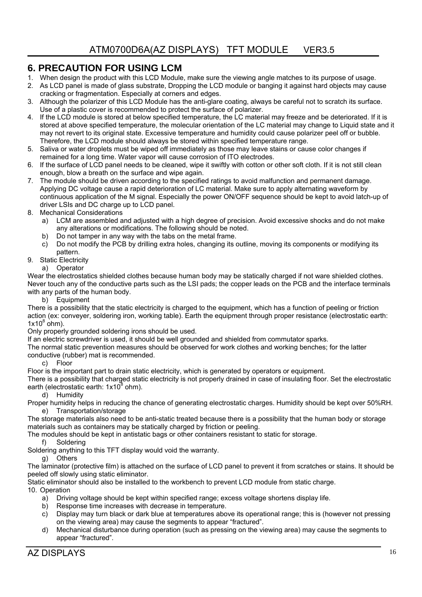#### **6. PRECAUTION FOR USING LCM**

- 1. When design the product with this LCD Module, make sure the viewing angle matches to its purpose of usage.
- 2. As LCD panel is made of glass substrate, Dropping the LCD module or banging it against hard objects may cause cracking or fragmentation. Especially at corners and edges.
- 3. Although the polarizer of this LCD Module has the anti-glare coating, always be careful not to scratch its surface. Use of a plastic cover is recommended to protect the surface of polarizer.
- 4. If the LCD module is stored at below specified temperature, the LC material may freeze and be deteriorated. If it is stored at above specified temperature, the molecular orientation of the LC material may change to Liquid state and it may not revert to its original state. Excessive temperature and humidity could cause polarizer peel off or bubble. Therefore, the LCD module should always be stored within specified temperature range.
- 5. Saliva or water droplets must be wiped off immediately as those may leave stains or cause color changes if remained for a long time. Water vapor will cause corrosion of ITO electrodes.
- 6. If the surface of LCD panel needs to be cleaned, wipe it swiftly with cotton or other soft cloth. If it is not still clean enough, blow a breath on the surface and wipe again.
- 7. The module should be driven according to the specified ratings to avoid malfunction and permanent damage. Applying DC voltage cause a rapid deterioration of LC material. Make sure to apply alternating waveform by continuous application of the M signal. Especially the power ON/OFF sequence should be kept to avoid latch-up of driver LSIs and DC charge up to LCD panel.
- 8. Mechanical Considerations
	- a) LCM are assembled and adjusted with a high degree of precision. Avoid excessive shocks and do not make any alterations or modifications. The following should be noted.
	- b) Do not tamper in any way with the tabs on the metal frame.
	- c) Do not modify the PCB by drilling extra holes, changing its outline, moving its components or modifying its pattern.
- 9. Static Electricity a) Operator

Wear the electrostatics shielded clothes because human body may be statically charged if not ware shielded clothes. Never touch any of the conductive parts such as the LSI pads; the copper leads on the PCB and the interface terminals with any parts of the human body.

b) Equipment

There is a possibility that the static electricity is charged to the equipment, which has a function of peeling or friction action (ex: conveyer, soldering iron, working table). Earth the equipment through proper resistance (electrostatic earth:  $1x10^8$  ohm).

Only properly grounded soldering irons should be used.

If an electric screwdriver is used, it should be well grounded and shielded from commutator sparks.

The normal static prevention measures should be observed for work clothes and working benches; for the latter conductive (rubber) mat is recommended.

c) Floor

Floor is the important part to drain static electricity, which is generated by operators or equipment.

There is a possibility that charged static electricity is not properly drained in case of insulating floor. Set the electrostatic earth (electrostatic earth: 1x10<sup>8</sup> ohm).

d) Humidity

Proper humidity helps in reducing the chance of generating electrostatic charges. Humidity should be kept over 50%RH. e) Transportation/storage

The storage materials also need to be anti-static treated because there is a possibility that the human body or storage materials such as containers may be statically charged by friction or peeling.

The modules should be kept in antistatic bags or other containers resistant to static for storage.

f) Soldering

Soldering anything to this TFT display would void the warranty.

g) Others

The laminator (protective film) is attached on the surface of LCD panel to prevent it from scratches or stains. It should be peeled off slowly using static eliminator.

Static eliminator should also be installed to the workbench to prevent LCD module from static charge.

10. Operation

- a) Driving voltage should be kept within specified range; excess voltage shortens display life.
- b) Response time increases with decrease in temperature.
- c) Display may turn black or dark blue at temperatures above its operational range; this is (however not pressing on the viewing area) may cause the segments to appear "fractured".
- d) Mechanical disturbance during operation (such as pressing on the viewing area) may cause the segments to appear "fractured".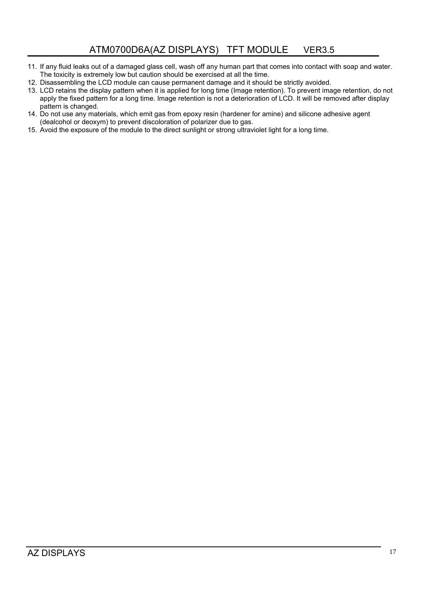- 11. If any fluid leaks out of a damaged glass cell, wash off any human part that comes into contact with soap and water. The toxicity is extremely low but caution should be exercised at all the time.
- 12. Disassembling the LCD module can cause permanent damage and it should be strictly avoided.
- 13. LCD retains the display pattern when it is applied for long time (Image retention). To prevent image retention, do not apply the fixed pattern for a long time. Image retention is not a deterioration of LCD. It will be removed after display pattern is changed.
- 14. Do not use any materials, which emit gas from epoxy resin (hardener for amine) and silicone adhesive agent (dealcohol or deoxym) to prevent discoloration of polarizer due to gas.
- 15. Avoid the exposure of the module to the direct sunlight or strong ultraviolet light for a long time.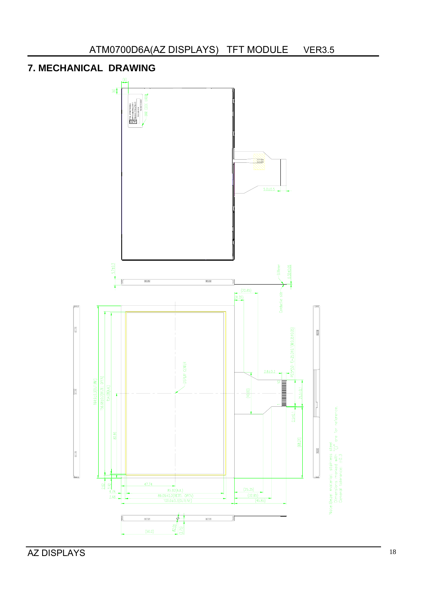

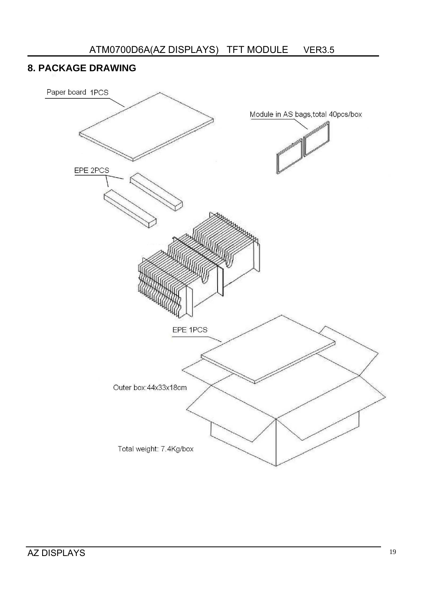# **8. PACKAGE DRAWING**

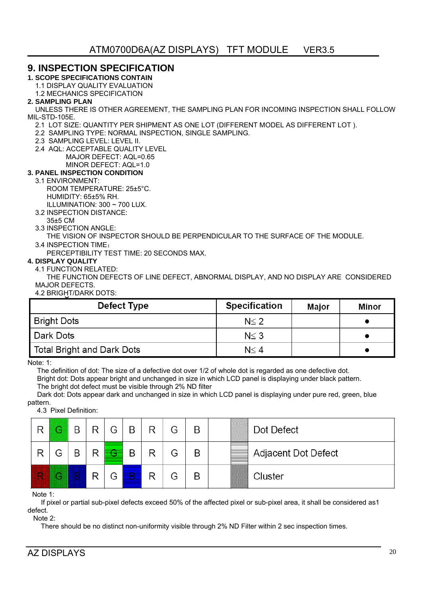#### **9. INSPECTION SPECIFICATION**

**1. SCOPE SPECIFICATIONS CONTAIN** 

1.1 DISPLAY QUALITY EVALUATION

1.2 MECHANICS SPECIFICATION

#### **2. SAMPLING PLAN**

 UNLESS THERE IS OTHER AGREEMENT, THE SAMPLING PLAN FOR INCOMING INSPECTION SHALL FOLLOW MIL-STD-105E.

- 2.1 LOT SIZE: QUANTITY PER SHIPMENT AS ONE LOT (DIFFERENT MODEL AS DIFFERENT LOT ).
- 2.2 SAMPLING TYPE: NORMAL INSPECTION, SINGLE SAMPLING.
- 2.3 SAMPLING LEVEL: LEVEL II.
- 2.4 AQL: ACCEPTABLE QUALITY LEVEL
	- MAJOR DEFECT: AQL=0.65
	- MINOR DEFECT: AQL=1.0

#### **3. PANEL INSPECTION CONDITION**

#### 3.1 ENVIRONMENT:

- ROOM TEMPERATURE: 25±5°C.
- HUMIDITY: 65±5% RH.
- ILLUMINATION: 300 ~ 700 LUX.
- 3.2 INSPECTION DISTANCE:
- 35±5 CM
- 3.3 INSPECTION ANGLE:
	- THE VISION OF INSPECTOR SHOULD BE PERPENDICULAR TO THE SURFACE OF THE MODULE.
- 3.4 INSPECTION TIME:

PERCEPTIBILITY TEST TIME: 20 SECONDS MAX.

#### **4. DISPLAY QUALITY**

4.1 FUNCTION RELATED:

 THE FUNCTION DEFECTS OF LINE DEFECT, ABNORMAL DISPLAY, AND NO DISPLAY ARE CONSIDERED MAJOR DEFECTS.

4.2 BRIGHT/DARK DOTS:

| Defect Type                | <b>Specification</b> | Maior | Minor |
|----------------------------|----------------------|-------|-------|
| Bright Dots                | $N \leq 2$           |       |       |
| l Dark Dots                | $N \leq 3$           |       |       |
| Total Bright and Dark Dots | $N \leq 4$           |       |       |

Note: 1:

The definition of dot: The size of a defective dot over 1/2 of whole dot is regarded as one defective dot.

 Bright dot: Dots appear bright and unchanged in size in which LCD panel is displaying under black pattern. The bright dot defect must be visible through 2% ND filter

 Dark dot: Dots appear dark and unchanged in size in which LCD panel is displaying under pure red, green, blue pattern.

4.3 Pixel Definition:

| R | G | B | R | G | B | R | G | B | Dot Defect          |
|---|---|---|---|---|---|---|---|---|---------------------|
| R | G | B | R |   | B | R | G | B | Adjacent Dot Defect |
| R | G |   | R | G |   | ₽ | G | B | Cluster             |

Note 1:

 If pixel or partial sub-pixel defects exceed 50% of the affected pixel or sub-pixel area, it shall be considered as1 defect.

Note 2:

There should be no distinct non-uniformity visible through 2% ND Filter within 2 sec inspection times.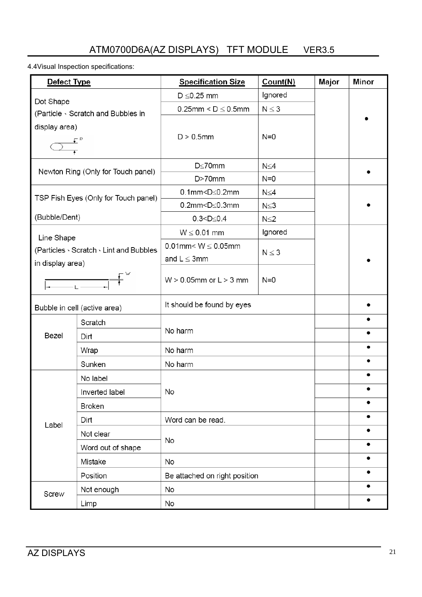# ATM0700D6A(AZ DISPLAYS) TFT MODULE VER3.5

4.4Visual Inspection specifications:

| Defect Type      |                                         | <b>Specification Size</b>                | Major      | Minor     |  |
|------------------|-----------------------------------------|------------------------------------------|------------|-----------|--|
|                  |                                         | $D \leq 0.25$ mm                         | Ignored    |           |  |
| Dot Shape        | (Particle Scratch and Bubbles in        | $N \leq 3$<br>$0.25$ mm < $D \le 0.5$ mm |            |           |  |
| display area)    |                                         |                                          |            |           |  |
|                  |                                         | $D > 0.5$ mm                             | $N=0$      |           |  |
|                  |                                         |                                          |            |           |  |
|                  |                                         | $D \le 70$ mm                            | $N \leq 4$ |           |  |
|                  | Newton Ring (Only for Touch panel)      | $D > 70$ mm<br>$N=0$                     |            |           |  |
|                  |                                         | $0.1$ mm< $D \le 0.2$ mm                 | $N \leq 4$ |           |  |
|                  | TSP Fish Eyes (Only for Touch panel)    | $0.2$ mm< $D \leq 0.3$ mm                | N≤3        |           |  |
| (Bubble/Dent)    |                                         | $0.3 < D \le 0.4$                        | $N \leq 2$ |           |  |
| Line Shape       |                                         | $W \leq 0.01$ mm                         | Ignored    |           |  |
|                  | (Particles · Scratch · Lint and Bubbles | $0.01$ mm< W $\leq 0.05$ mm              |            |           |  |
| in display area) |                                         | and $L \leq 3$ mm                        | $N \leq 3$ |           |  |
|                  |                                         |                                          |            |           |  |
|                  |                                         | $W > 0.05$ mm or $L > 3$ mm              | $N=0$      |           |  |
|                  | Bubble in cell (active area)            | It should be found by eyes               |            |           |  |
|                  | Scratch                                 |                                          |            |           |  |
| Bezel            | Dirt                                    | No harm                                  |            |           |  |
|                  | Wrap                                    | No harm                                  |            | ٠         |  |
|                  | Sunken                                  | No harm                                  |            | ٠         |  |
|                  | No label                                |                                          |            |           |  |
|                  | Inverted label                          | No                                       |            |           |  |
|                  | <b>Broken</b>                           |                                          |            | $\bullet$ |  |
|                  | Dirt                                    | Word can be read.                        |            | ٠         |  |
| Label            | Not clear                               |                                          |            | ٠         |  |
|                  | Word out of shape                       | No                                       |            | ٠         |  |
|                  | Mistake                                 | No                                       |            | ٠         |  |
|                  | Position                                | Be attached on right position            |            | ٠         |  |
|                  | Not enough                              | No                                       |            | ٠         |  |
| Screw            | Limp                                    | No                                       |            | ٠         |  |